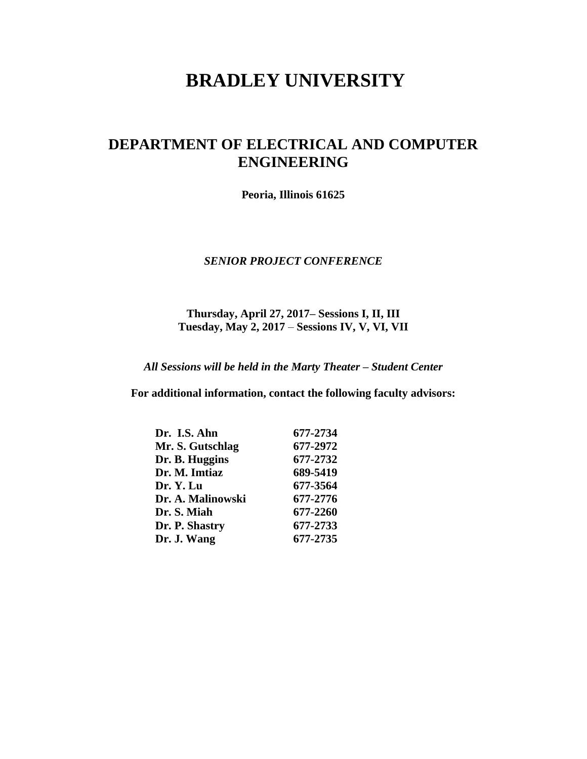# **BRADLEY UNIVERSITY**

## **DEPARTMENT OF ELECTRICAL AND COMPUTER ENGINEERING**

**Peoria, Illinois 61625**

#### *SENIOR PROJECT CONFERENCE*

**Thursday, April 27, 2017– Sessions I, II, III Tuesday, May 2, 2017** – **Sessions IV, V, VI, VII**

*All Sessions will be held in the Marty Theater – Student Center*

**For additional information, contact the following faculty advisors:**

| Dr. I.S. Ahn      | 677-2734 |
|-------------------|----------|
| Mr. S. Gutschlag  | 677-2972 |
| Dr. B. Huggins    | 677-2732 |
| Dr. M. Imtiaz     | 689-5419 |
| Dr. Y. Lu         | 677-3564 |
| Dr. A. Malinowski | 677-2776 |
| Dr. S. Miah       | 677-2260 |
| Dr. P. Shastry    | 677-2733 |
| Dr. J. Wang       | 677-2735 |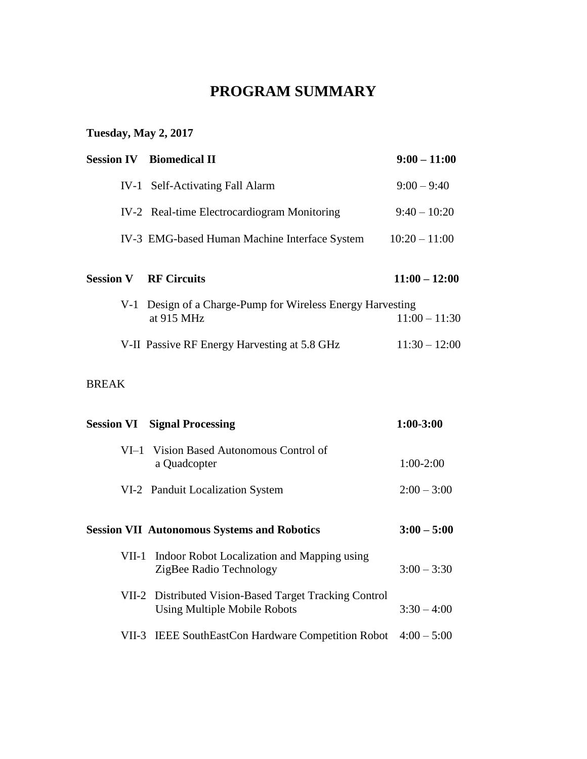# **PROGRAM SUMMARY**

# **Tuesday, May 2, 2017**

|                  | <b>Session IV</b> Biomedical II                                                               | $9:00 - 11:00$  |
|------------------|-----------------------------------------------------------------------------------------------|-----------------|
|                  | IV-1 Self-Activating Fall Alarm                                                               | $9:00 - 9:40$   |
|                  | IV-2 Real-time Electrocardiogram Monitoring                                                   | $9:40 - 10:20$  |
|                  | IV-3 EMG-based Human Machine Interface System                                                 | $10:20 - 11:00$ |
| <b>Session V</b> | <b>RF Circuits</b>                                                                            | $11:00 - 12:00$ |
| $V-1$            | Design of a Charge-Pump for Wireless Energy Harvesting<br>at 915 MHz                          | $11:00 - 11:30$ |
|                  | V-II Passive RF Energy Harvesting at 5.8 GHz                                                  | $11:30 - 12:00$ |
| <b>BREAK</b>     |                                                                                               |                 |
|                  | <b>Session VI Signal Processing</b>                                                           | $1:00 - 3:00$   |
|                  | VI-1 Vision Based Autonomous Control of<br>a Quadcopter                                       | $1:00-2:00$     |
|                  | VI-2 Panduit Localization System                                                              | $2:00 - 3:00$   |
|                  | <b>Session VII Autonomous Systems and Robotics</b>                                            | $3:00 - 5:00$   |
| $VII-1$          | Indoor Robot Localization and Mapping using<br>ZigBee Radio Technology                        | $3:00 - 3:30$   |
|                  | VII-2 Distributed Vision-Based Target Tracking Control<br><b>Using Multiple Mobile Robots</b> | $3:30 - 4:00$   |
|                  | VII-3 IEEE SouthEastCon Hardware Competition Robot                                            | $4:00 - 5:00$   |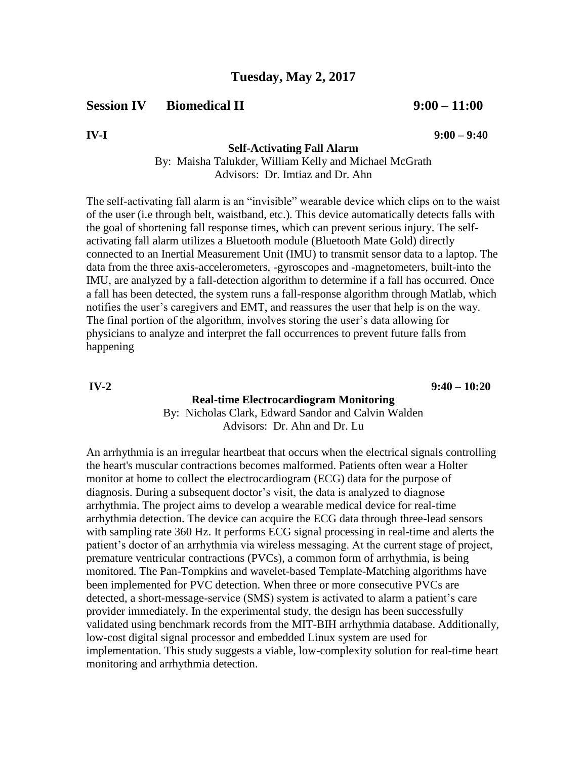**Session IV** Biomedical II 9:00 – 11:00

**IV-I 9:00 – 9:40**

**Self-Activating Fall Alarm**

By: Maisha Talukder, William Kelly and Michael McGrath Advisors: Dr. Imtiaz and Dr. Ahn

The self-activating fall alarm is an "invisible" wearable device which clips on to the waist of the user (i.e through belt, waistband, etc.). This device automatically detects falls with the goal of shortening fall response times, which can prevent serious injury. The selfactivating fall alarm utilizes a Bluetooth module (Bluetooth Mate Gold) directly connected to an Inertial Measurement Unit (IMU) to transmit sensor data to a laptop. The data from the three axis-accelerometers, -gyroscopes and -magnetometers, built-into the IMU, are analyzed by a fall-detection algorithm to determine if a fall has occurred. Once a fall has been detected, the system runs a fall-response algorithm through Matlab, which notifies the user's caregivers and EMT, and reassures the user that help is on the way. The final portion of the algorithm, involves storing the user's data allowing for physicians to analyze and interpret the fall occurrences to prevent future falls from happening

**IV-2 9:40 – 10:20**

#### **Real-time Electrocardiogram Monitoring**

By: Nicholas Clark, Edward Sandor and Calvin Walden Advisors: Dr. Ahn and Dr. Lu

An arrhythmia is an irregular heartbeat that occurs when the electrical signals controlling the heart's muscular contractions becomes malformed. Patients often wear a Holter monitor at home to collect the electrocardiogram (ECG) data for the purpose of diagnosis. During a subsequent doctor's visit, the data is analyzed to diagnose arrhythmia. The project aims to develop a wearable medical device for real-time arrhythmia detection. The device can acquire the ECG data through three-lead sensors with sampling rate 360 Hz. It performs ECG signal processing in real-time and alerts the patient's doctor of an arrhythmia via wireless messaging. At the current stage of project, premature ventricular contractions (PVCs), a common form of arrhythmia, is being monitored. The Pan-Tompkins and wavelet-based Template-Matching algorithms have been implemented for PVC detection. When three or more consecutive PVCs are detected, a short-message-service (SMS) system is activated to alarm a patient's care provider immediately. In the experimental study, the design has been successfully validated using benchmark records from the MIT-BIH arrhythmia database. Additionally, low-cost digital signal processor and embedded Linux system are used for implementation. This study suggests a viable, low-complexity solution for real-time heart monitoring and arrhythmia detection.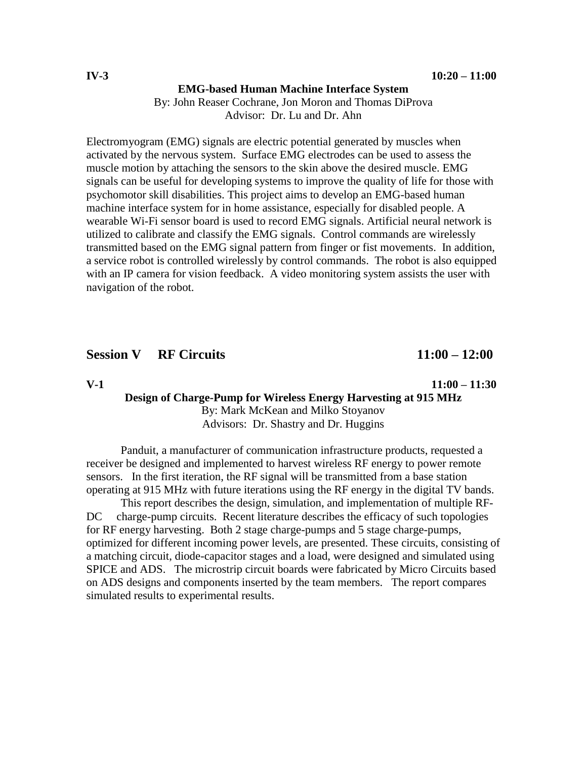#### **EMG-based Human Machine Interface System**

By: John Reaser Cochrane, Jon Moron and Thomas DiProva Advisor: Dr. Lu and Dr. Ahn

Electromyogram (EMG) signals are electric potential generated by muscles when activated by the nervous system. Surface EMG electrodes can be used to assess the muscle motion by attaching the sensors to the skin above the desired muscle. EMG signals can be useful for developing systems to improve the quality of life for those with psychomotor skill disabilities. This project aims to develop an EMG-based human machine interface system for in home assistance, especially for disabled people. A wearable Wi-Fi sensor board is used to record EMG signals. Artificial neural network is utilized to calibrate and classify the EMG signals. Control commands are wirelessly transmitted based on the EMG signal pattern from finger or fist movements. In addition, a service robot is controlled wirelessly by control commands. The robot is also equipped with an IP camera for vision feedback. A video monitoring system assists the user with navigation of the robot.

## **Session V RF Circuits 11:00 – 12:00**

#### **V-1 11:00 – 11:30 Design of Charge-Pump for Wireless Energy Harvesting at 915 MHz** By: Mark McKean and Milko Stoyanov

Advisors: Dr. Shastry and Dr. Huggins

Panduit, a manufacturer of communication infrastructure products, requested a receiver be designed and implemented to harvest wireless RF energy to power remote sensors. In the first iteration, the RF signal will be transmitted from a base station operating at 915 MHz with future iterations using the RF energy in the digital TV bands.

This report describes the design, simulation, and implementation of multiple RF-DC charge-pump circuits. Recent literature describes the efficacy of such topologies for RF energy harvesting. Both 2 stage charge-pumps and 5 stage charge-pumps, optimized for different incoming power levels, are presented. These circuits, consisting of a matching circuit, diode-capacitor stages and a load, were designed and simulated using SPICE and ADS. The microstrip circuit boards were fabricated by Micro Circuits based on ADS designs and components inserted by the team members. The report compares simulated results to experimental results.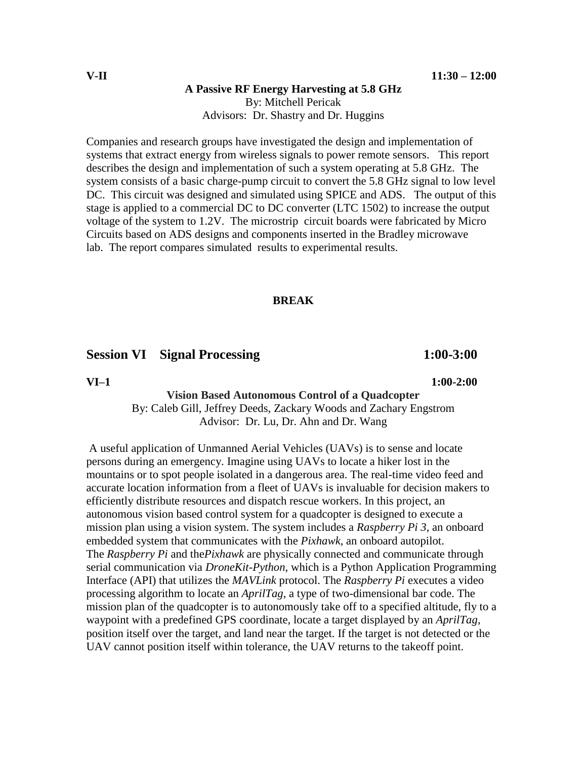#### **A Passive RF Energy Harvesting at 5.8 GHz**

By: Mitchell Pericak Advisors: Dr. Shastry and Dr. Huggins

Companies and research groups have investigated the design and implementation of systems that extract energy from wireless signals to power remote sensors. This report describes the design and implementation of such a system operating at 5.8 GHz. The system consists of a basic charge-pump circuit to convert the 5.8 GHz signal to low level DC. This circuit was designed and simulated using SPICE and ADS. The output of this stage is applied to a commercial DC to DC converter (LTC 1502) to increase the output voltage of the system to 1.2V. The microstrip circuit boards were fabricated by Micro Circuits based on ADS designs and components inserted in the Bradley microwave lab. The report compares simulated results to experimental results.

#### **BREAK**

## **Session VI** Signal Processing 1:00-3:00

**VI–1 1:00-2:00**

#### **Vision Based Autonomous Control of a Quadcopter** By: Caleb Gill, Jeffrey Deeds, Zackary Woods and Zachary Engstrom Advisor: Dr. Lu, Dr. Ahn and Dr. Wang

A useful application of Unmanned Aerial Vehicles (UAVs) is to sense and locate persons during an emergency. Imagine using UAVs to locate a hiker lost in the mountains or to spot people isolated in a dangerous area. The real-time video feed and accurate location information from a fleet of UAVs is invaluable for decision makers to efficiently distribute resources and dispatch rescue workers. In this project, an autonomous vision based control system for a quadcopter is designed to execute a mission plan using a vision system. The system includes a *Raspberry Pi 3*, an onboard embedded system that communicates with the *Pixhawk*, an onboard autopilot. The *Raspberry Pi* and the*Pixhawk* are physically connected and communicate through serial communication via *DroneKit-Python*, which is a Python Application Programming Interface (API) that utilizes the *MAVLink* protocol. The *Raspberry Pi* executes a video processing algorithm to locate an *AprilTag*, a type of two-dimensional bar code. The mission plan of the quadcopter is to autonomously take off to a specified altitude, fly to a waypoint with a predefined GPS coordinate, locate a target displayed by an *AprilTag*, position itself over the target, and land near the target. If the target is not detected or the UAV cannot position itself within tolerance, the UAV returns to the takeoff point.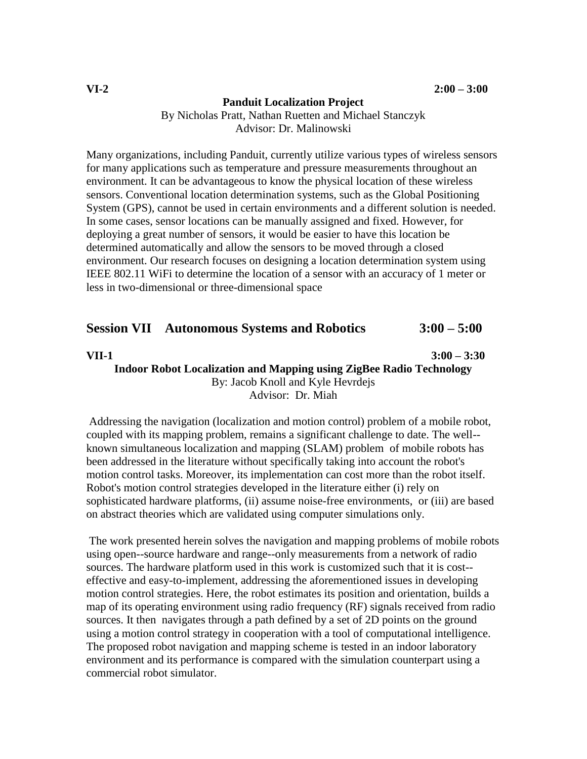#### **Panduit Localization Project**

By Nicholas Pratt, Nathan Ruetten and Michael Stanczyk Advisor: Dr. Malinowski

Many organizations, including Panduit, currently utilize various types of wireless sensors for many applications such as temperature and pressure measurements throughout an environment. It can be advantageous to know the physical location of these wireless sensors. Conventional location determination systems, such as the Global Positioning System (GPS), cannot be used in certain environments and a different solution is needed. In some cases, sensor locations can be manually assigned and fixed. However, for deploying a great number of sensors, it would be easier to have this location be determined automatically and allow the sensors to be moved through a closed environment. Our research focuses on designing a location determination system using IEEE 802.11 WiFi to determine the location of a sensor with an accuracy of 1 meter or less in two-dimensional or three-dimensional space

| <b>Session VII Autonomous Systems and Robotics</b> |  |  | $3:00 - 5:00$ |
|----------------------------------------------------|--|--|---------------|
|----------------------------------------------------|--|--|---------------|

**VII-1 3:00 – 3:30**

**Indoor Robot Localization and Mapping using ZigBee Radio Technology** By: Jacob Knoll and Kyle Hevrdejs Advisor: Dr. Miah

Addressing the navigation (localization and motion control) problem of a mobile robot, coupled with its mapping problem, remains a significant challenge to date. The well- known simultaneous localization and mapping (SLAM) problem of mobile robots has been addressed in the literature without specifically taking into account the robot's motion control tasks. Moreover, its implementation can cost more than the robot itself. Robot's motion control strategies developed in the literature either (i) rely on sophisticated hardware platforms, (ii) assume noise-free environments, or (iii) are based on abstract theories which are validated using computer simulations only.

The work presented herein solves the navigation and mapping problems of mobile robots using open--source hardware and range--only measurements from a network of radio sources. The hardware platform used in this work is customized such that it is cost- effective and easy-to-implement, addressing the aforementioned issues in developing motion control strategies. Here, the robot estimates its position and orientation, builds a map of its operating environment using radio frequency (RF) signals received from radio sources. It then navigates through a path defined by a set of 2D points on the ground using a motion control strategy in cooperation with a tool of computational intelligence. The proposed robot navigation and mapping scheme is tested in an indoor laboratory environment and its performance is compared with the simulation counterpart using a commercial robot simulator.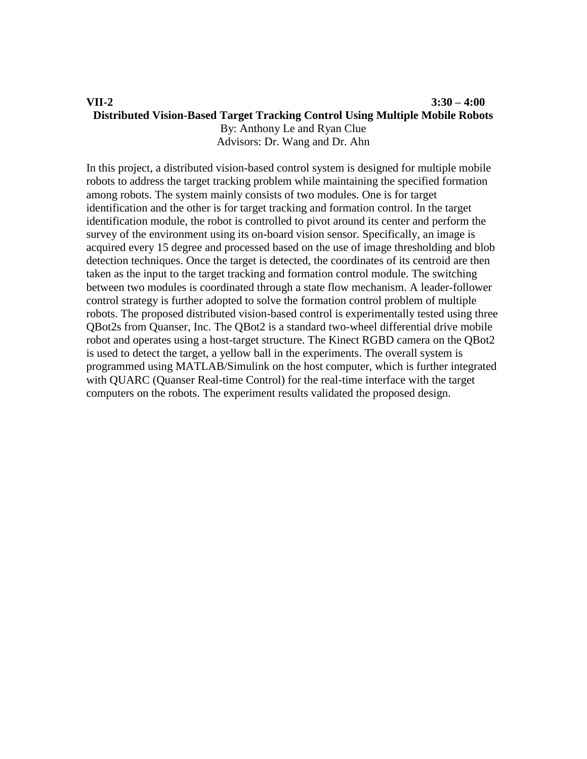#### **VII-2 3:30 – 4:00 Distributed Vision-Based Target Tracking Control Using Multiple Mobile Robots** By: Anthony Le and Ryan Clue Advisors: Dr. Wang and Dr. Ahn

In this project, a distributed vision-based control system is designed for multiple mobile robots to address the target tracking problem while maintaining the specified formation among robots. The system mainly consists of two modules. One is for target identification and the other is for target tracking and formation control. In the target identification module, the robot is controlled to pivot around its center and perform the survey of the environment using its on-board vision sensor. Specifically, an image is acquired every 15 degree and processed based on the use of image thresholding and blob detection techniques. Once the target is detected, the coordinates of its centroid are then taken as the input to the target tracking and formation control module. The switching between two modules is coordinated through a state flow mechanism. A leader-follower control strategy is further adopted to solve the formation control problem of multiple robots. The proposed distributed vision-based control is experimentally tested using three QBot2s from Quanser, Inc. The QBot2 is a standard two-wheel differential drive mobile robot and operates using a host-target structure. The Kinect RGBD camera on the QBot2 is used to detect the target, a yellow ball in the experiments. The overall system is programmed using MATLAB/Simulink on the host computer, which is further integrated with QUARC (Quanser Real-time Control) for the real-time interface with the target computers on the robots. The experiment results validated the proposed design.